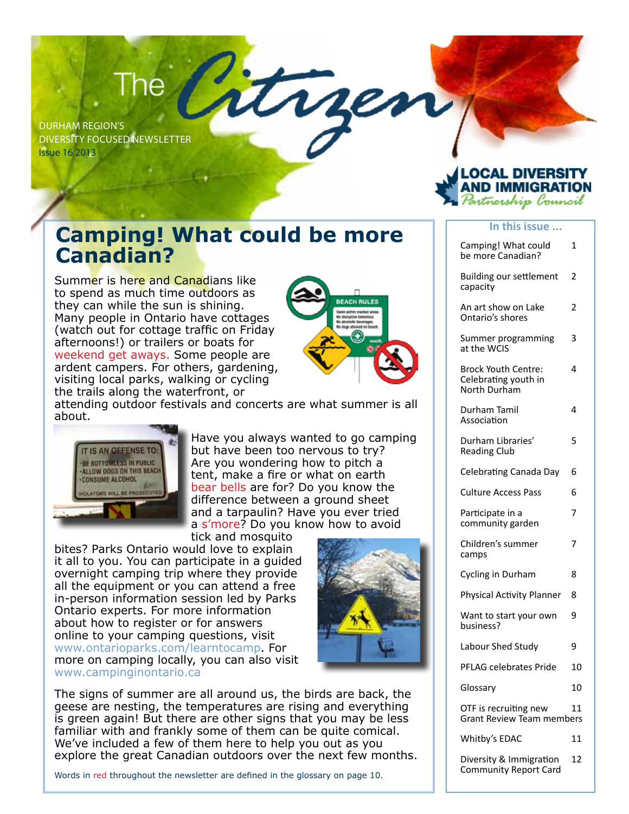# The

Durham Region's Diversity Focused Newsletter Issue 16 2013

**Canadian?**

Summer is here and Canadians like to spend as much time outdoors as they can while the sun is shining. Many people in Ontario have cottages (watch out for cottage traffic on Friday afternoons!) or trailers or boats for weekend get aways. Some people are ardent campers. For others, gardening, visiting local parks, walking or cycling the trails along the waterfront, or



attending outdoor festivals and concerts are what summer is all about.

**Camping! What could be more** 



Have you always wanted to go camping but have been too nervous to try? Are you wondering how to pitch a tent, make a fire or what on earth bear bells are for? Do you know the difference between a ground sheet and a tarpaulin? Have you ever tried a s'more? Do you know how to avoid tick and mosquito

bites? Parks Ontario would love to explain it all to you. You can participate in a guided overnight camping trip where they provide all the equipment or you can attend a free in-person information session led by Parks Ontario experts. For more information about how to register or for answers online to your camping questions, visit www.ontarioparks.com/learntocamp. For more on camping locally, you can also visit www.campinginontario.ca



The signs of summer are all around us, the birds are back, the geese are nesting, the temperatures are rising and everything is green again! But there are other signs that you may be less familiar with and frankly some of them can be quite comical. We've included a few of them here to help you out as you explore the great Canadian outdoors over the next few months.

Words in red throughout the newsletter are defined in the glossary on page 10.

| <b>LOCAL DIVERSITY</b><br><b>AND IMMIGRATION</b><br><i>Partnership Council</i> |
|--------------------------------------------------------------------------------|
|                                                                                |
|                                                                                |

#### **In this issue ...**

| Camping! What could<br>be more Canadian?                           | 1  |
|--------------------------------------------------------------------|----|
| <b>Building our settlement</b><br>capacity                         | 2  |
| An art show on Lake<br>Ontario's shores                            | 2  |
| Summer programming<br>at the WCIS                                  | 3  |
| <b>Brock Youth Centre:</b><br>Celebrating youth in<br>North Durham | 4  |
| Durham Tamil<br>Association                                        | 4  |
| Durham Libraries'<br><b>Reading Club</b>                           | 5  |
| Celebrating Canada Day                                             | 6  |
| <b>Culture Access Pass</b>                                         | 6  |
| Participate in a<br>community garden                               | 7  |
| Children's summer<br>camps                                         | 7  |
| Cycling in Durham                                                  | 8  |
| Physical Activity Planner                                          | 8  |
| Want to start your own<br>business?                                | 9  |
| Labour Shed Study                                                  | 9  |
| PFLAG celebrates Pride                                             | 10 |
| Glossary                                                           | 10 |
| OTF is recruiting new<br><b>Grant Review Team members</b>          | 11 |
| Whitby's EDAC                                                      | 11 |
| Diversity & Immigration<br><b>Community Report Card</b>            | 12 |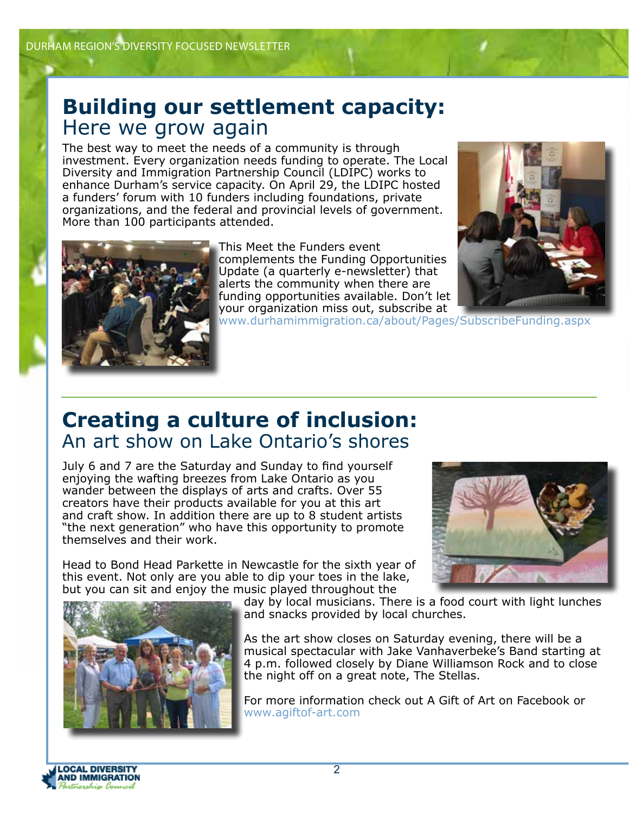### **Building our settlement capacity:** Here we grow again

The best way to meet the needs of a community is through investment. Every organization needs funding to operate. The Local Diversity and Immigration Partnership Council (LDIPC) works to enhance Durham's service capacity. On April 29, the LDIPC hosted a funders' forum with 10 funders including foundations, private organizations, and the federal and provincial levels of government. More than 100 participants attended.



This Meet the Funders event complements the Funding Opportunities Update (a quarterly e-newsletter) that alerts the community when there are funding opportunities available. Don't let your organization miss out, subscribe at



www.durhamimmigration.ca/about/Pages/SubscribeFunding.aspx

## **Creating a culture of inclusion:** An art show on Lake Ontario's shores

July 6 and 7 are the Saturday and Sunday to find yourself enjoying the wafting breezes from Lake Ontario as you wander between the displays of arts and crafts. Over 55 creators have their products available for you at this art and craft show. In addition there are up to 8 student artists "the next generation" who have this opportunity to promote themselves and their work.

Head to Bond Head Parkette in Newcastle for the sixth year of this event. Not only are you able to dip your toes in the lake, but you can sit and enjoy the music played throughout the





day by local musicians. There is a food court with light lunches and snacks provided by local churches.

As the art show closes on Saturday evening, there will be a musical spectacular with Jake Vanhaverbeke's Band starting at 4 p.m. followed closely by Diane Williamson Rock and to close the night off on a great note, The Stellas.

For more information check out A Gift of Art on Facebook or www.agiftof-art.com

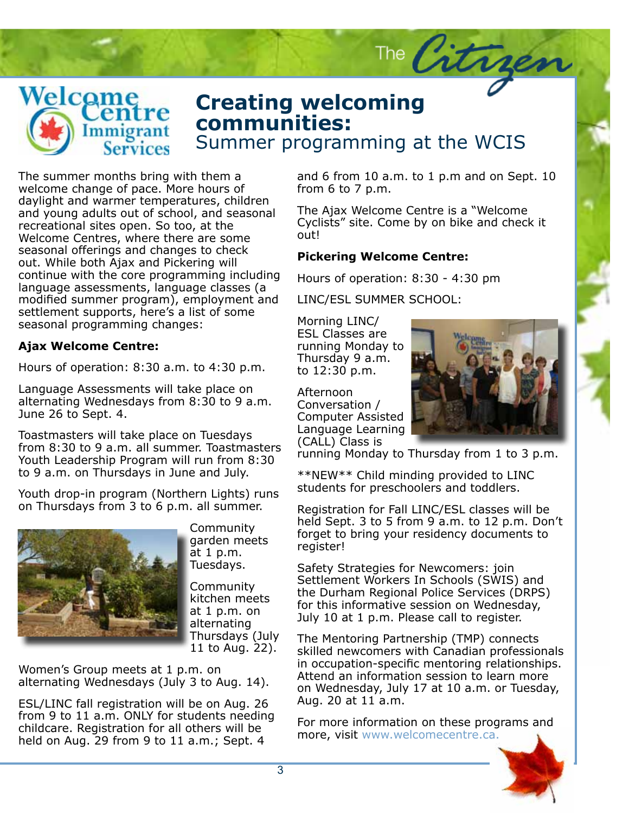

### **Creating welcoming**<br> **Communities:** Summer programming at the WCIS **communities:**

Suspendisse scelerisque ipsum eget mi. The summer months bring with them a<br>welcome change of pace. More hours of from 6 meleanie enange or pulcit from insure or insure in insura<br>daylight and warmer temperatures, children and young adults out of school, and seasonal  $\Gamma^{he}$ .  $\Gamma$ recreational sites open. So too, at the currectional sites open. So too, at the Welcome Centres, where there are some out! seasonal offerings and changes to check **Picker** out, while both AJax and Fickering will<br>continue with the core programming including Hours Phasellus in orci nec mi tincidunt convallis. Duis leo dolor, lobortis porttitor, hen-language assessments, language classes (a modified summer program), employment and LINC/ settlement supports, here's a list of some seasonal programming changes: The summer months bring with them a out. While both Ajax and Pickering will

### **Ajax Welcome Centre:**

Hours of operation: 8:30 a.m. to 4:30 p.m.

Language Assessments will take place on alternating Wednesdays from 8:30 to 9 a.m. June 26 to Sept. 4.

Toastmasters will take place on Tuesdays from 8:30 to 9 a.m. all summer. Toastmasters Youth Leadership Program will run from 8:30 to 9 a.m. on Thursdays in June and July.

Youth drop-in program (Northern Lights) runs on Thursdays from 3 to 6 p.m. all summer.



sommanne, torget<br>garden meets tetuer adipiscing elit. Praesent aliquet, at 1 p.m. orci a viverra consequat, leo quam mo-Tuesdays. **Community** 

Community<br>kitchen meets for the at 1 p.m. on arcernating<br>Thursdays (July - <sub>The Mei</sub>  $11$  to Aug. 22). Community alternating

mented every medded at a prim on the monder of the alternating Wednesdays (July 3 to Aug. 14).  $\mathcal{A}$  and  $\mathcal{A}$  is the set of  $\mathcal{A}$ Women's Group meets at 1 p.m. on

ESL/LINC fall registration will be on Aug. 26 childcare. Registration for all others will be held on Aug. 29 from 9 to 11 a.m.; Sept. 4 from 9 to 11 a.m. ONLY for students needing and 6 from 10 a.m. to 1 p.m and on Sept. 10 from 6 to 7 p.m.

The Citrge

The Ajax Welcome Centre is a "Welcome Cyclists" site. Come by on bike and check it out!

#### **Pickering Welcome Centre:**

Hours of operation: 8:30 - 4:30 pm

LINC/ESL SUMMER SCHOOL:

Morning LINC/ ESL Classes are running Monday to Thursday 9 a.m. to 12:30 p.m.

Afternoon Conversation / Computer Assisted Language Learning (CALL) Class is



running Monday to Thursday from 1 to 3 p.m.

\*\*NEW\*\* Child minding provided to LINC view come minding provided to live<br>students for preschoolers and toddlers. est, at facilisis massa leo ac nibh. Vivamus

Registration for Fall LINC/ESL classes will be held Sept. 3 to 5 from 9 a.m. to 12 p.m. Don't forget to bring your residency documents to register!

Community Settlement Workers In Schools (SWIS) and Safety Strategies for Newcomers: join the Durham Regional Police Services (DRPS) for this informative session on wearlesday,<br>July 10 at 1 p.m. Please call to register. eget mi. Quisque vehicula lectus sit amet for this informative session on Wednesday,

sed neque. Morbi a ipsum. The Mentoring Partnership (TMP) connects skilled newcomers with Canadian professionals in occupation-specific mentoring relationships. dimentum id, tristique sed, viverra et, eros. on Wednesday, July 17 at 10 a.m. or Tuesday, Nulla facilisi. Vivamus iaculis dui quis dolor. Attend an information session to learn more Aug. 20 at 11 a.m.

> For more information on these programs and more, visit www.welcomecentre.ca.

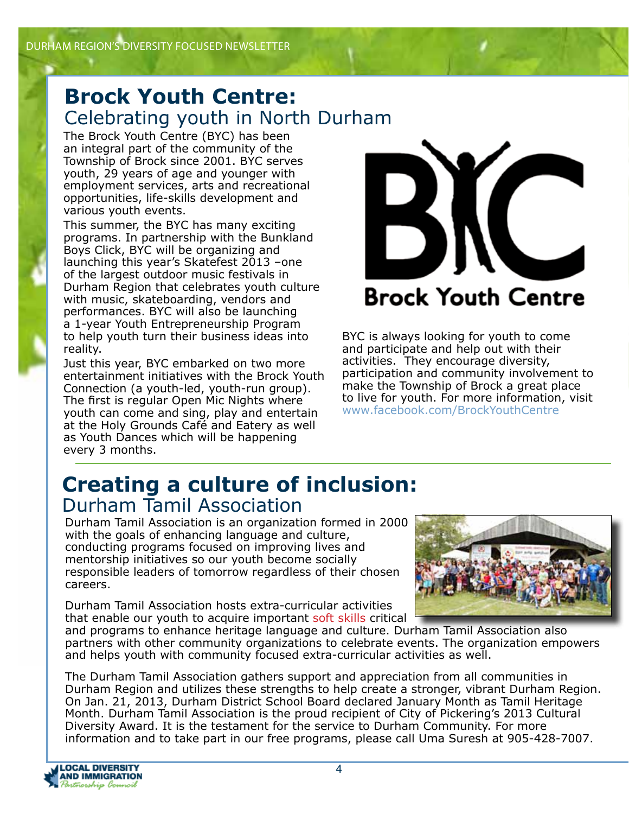## **Brock Youth Centre:** Celebrating youth in North Durham

The Brock Youth Centre (BYC) has been an integral part of the community of the Township of Brock since 2001. BYC serves youth, 29 years of age and younger with employment services, arts and recreational opportunities, life-skills development and various youth events.

This summer, the BYC has many exciting programs. In partnership with the Bunkland Boys Click, BYC will be organizing and launching this year's Skatefest 2013 –one of the largest outdoor music festivals in Durham Region that celebrates youth culture with music, skateboarding, vendors and performances. BYC will also be launching a 1-year Youth Entrepreneurship Program to help youth turn their business ideas into reality.

Just this year, BYC embarked on two more entertainment initiatives with the Brock Youth Connection (a youth-led, youth-run group). The first is regular Open Mic Nights where youth can come and sing, play and entertain at the Holy Grounds Café and Eatery as well as Youth Dances which will be happening every 3 months.



BYC is always looking for youth to come and participate and help out with their activities. They encourage diversity, participation and community involvement to make the Township of Brock a great place to live for youth. For more information, visit www.facebook.com/BrockYouthCentre

### **Creating a culture of inclusion:** Durham Tamil Association

Durham Tamil Association is an organization formed in 2000 with the goals of enhancing language and culture, conducting programs focused on improving lives and mentorship initiatives so our youth become socially responsible leaders of tomorrow regardless of their chosen careers.

Durham Tamil Association hosts extra-curricular activities that enable our youth to acquire important soft skills critical



and programs to enhance heritage language and culture. Durham Tamil Association also partners with other community organizations to celebrate events. The organization empowers and helps youth with community focused extra-curricular activities as well.

The Durham Tamil Association gathers support and appreciation from all communities in Durham Region and utilizes these strengths to help create a stronger, vibrant Durham Region. On Jan. 21, 2013, Durham District School Board declared January Month as Tamil Heritage Month. Durham Tamil Association is the proud recipient of City of Pickering's 2013 Cultural Diversity Award. It is the testament for the service to Durham Community. For more information and to take part in our free programs, please call Uma Suresh at 905-428-7007.

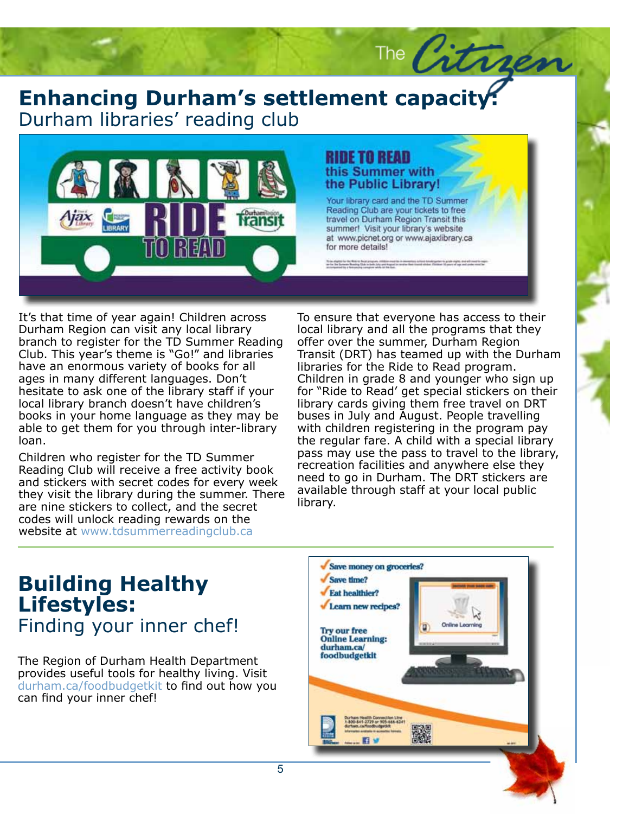### **Enhancing Durham's settlement capacity:**<br>Durham libraries' reading club Durham libraries' reading club



# the Public Library!

The Citries

by Middle Book program, 1988 for their<br>Cheesing Club to Switch July and Regard

It's that time of year again! Children across Durham Region can visit any local library branch to register for the TD Summer Reading Club. This year's theme is "Go!" and libraries have an enormous variety of books for all ages in many different languages. Don't hesitate to ask one of the library staff if your local library branch doesn't have children's books in your home language as they may be able to get them for you through inter-library loan.

Children who register for the TD Summer Reading Club will receive a free activity book and stickers with secret codes for every week they visit the library during the summer. There are nine stickers to collect, and the secret codes will unlock reading rewards on the website at www.tdsummerreadingclub.ca

To ensure that everyone has access to their<br>local library and all the programs that they offer over the summer, Durham Region<br>Transit (DRT) has teamed up with the Durham<br>likes is CRT) has idented and with the Durham Children in grade 8 and younger who sign up for "Ride to Read' get special stickers on their library cards giving them free travel on DRT buses in July and August. People travelling with emitrent registering in the program pay<br>the regular fare. A child with a special library man region. The communitiest pass may use the pass to travel to the library, recreation facilities and anywhere else they need to go in Durham. The DRT stickers are available through staff at your local public To ensure that everyone has access to their offer over the summer, Durham Region libraries for the Ride to Read program. with children registering in the program pay library.

### **Building Healthy Lifestyles:** Finding your inner chef!

The Region of Durham Health Department provides useful tools for healthy living. Visit durham.ca/foodbudgetkit to find out how you can find your inner chef!

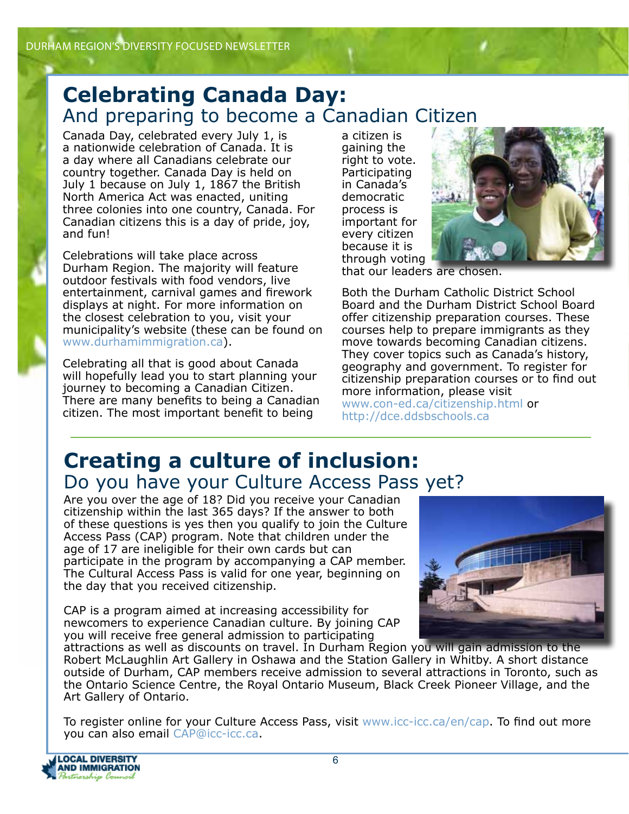### **Celebrating Canada Day:** And preparing to become a Canadian Citizen

Canada Day, celebrated every July 1, is a nationwide celebration of Canada. It is a day where all Canadians celebrate our country together. Canada Day is held on July 1 because on July 1, 1867 the British North America Act was enacted, uniting three colonies into one country, Canada. For Canadian citizens this is a day of pride, joy, and fun!

Celebrations will take place across Durham Region. The majority will feature outdoor festivals with food vendors, live entertainment, carnival games and firework displays at night. For more information on the closest celebration to you, visit your municipality's website (these can be found on www.durhamimmigration.ca).

Celebrating all that is good about Canada will hopefully lead you to start planning your journey to becoming a Canadian Citizen. There are many benefits to being a Canadian citizen. The most important benefit to being

a citizen is gaining the right to vote. Participating in Canada's democratic process is important for every citizen because it is through voting



that our leaders are chosen.

Both the Durham Catholic District School Board and the Durham District School Board offer citizenship preparation courses. These courses help to prepare immigrants as they move towards becoming Canadian citizens. They cover topics such as Canada's history, geography and government. To register for citizenship preparation courses or to find out more information, please visit www.con-ed.ca/citizenship.html or http://dce.ddsbschools.ca

# **Creating a culture of inclusion:** Do you have your Culture Access Pass yet?

Are you over the age of 18? Did you receive your Canadian citizenship within the last 365 days? If the answer to both of these questions is yes then you qualify to join the Culture Access Pass (CAP) program. Note that children under the age of 17 are ineligible for their own cards but can participate in the program by accompanying a CAP member. The Cultural Access Pass is valid for one year, beginning on the day that you received citizenship.

CAP is a program aimed at increasing accessibility for newcomers to experience Canadian culture. By joining CAP you will receive free general admission to participating



attractions as well as discounts on travel. In Durham Region you will gain admission to the Robert McLaughlin Art Gallery in Oshawa and the Station Gallery in Whitby. A short distance outside of Durham, CAP members receive admission to several attractions in Toronto, such as the Ontario Science Centre, the Royal Ontario Museum, Black Creek Pioneer Village, and the Art Gallery of Ontario.

To register online for your Culture Access Pass, visit www.icc-icc.ca/en/cap. To find out more you can also email CAP@icc-icc.ca.

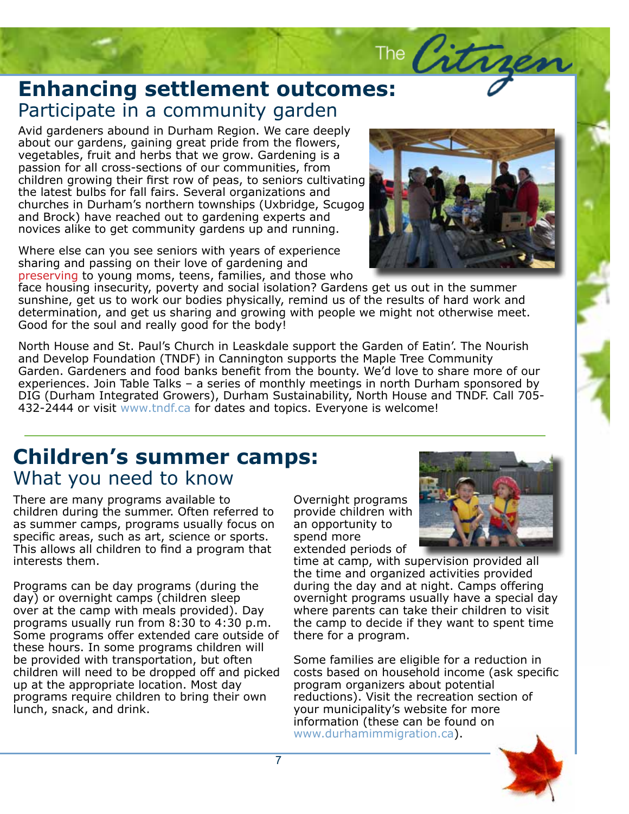# The Citra **Enhancing settlement outcomes: Ennancing settlement outco**<br>Participate in a community garden

Avid gardeners abound in Durham Region. We care deeply about our gardens, gaining great pride from the flowers, vegetables, fruit and herbs that we grow. Gardening is a passion for all cross-sections of our communities, from children growing their first row of peas, to seniors cultivating the latest bulbs for fall fairs. Several organizations and churches in Durham's northern townships (Uxbridge, Scugog and Brock) have reached out to gardening experts and novices alike to get community gardens up and running.

Where else can you see seniors with years of experience sharing and passing on their love of gardening and preserving to young moms, teens, families, and those who

face housing insecurity, poverty and social isolation? Gardens get us out in the summer sunshine, get us to work our bodies physically, remind us of the results of hard work and determination, and get us sharing and growing with people we might not otherwise meet. Good for the soul and really good for the body!

North House and St. Paul's Church in Leaskdale support the Garden of Eatin'. The Nourish and Develop Foundation (TNDF) in Cannington supports the Maple Tree Community Garden. Gardeners and food banks benefit from the bounty. We'd love to share more of our experiences. Join Table Talks – a series of monthly meetings in north Durham sponsored by DIG (Durham Integrated Growers), Durham Sustainability, North House and TNDF. Call 705- 432-2444 or visit www.tndf.ca for dates and topics. Everyone is welcome!

### **Children's summer camps:** What you need to know

There are many programs available to children during the summer. Often referred to as summer camps, programs usually focus on specific areas, such as art, science or sports. This allows all children to find a program that interests them.

Programs can be day programs (during the day) or overnight camps (children sleep over at the camp with meals provided). Day programs usually run from 8:30 to 4:30 p.m. Some programs offer extended care outside of these hours. In some programs children will be provided with transportation, but often children will need to be dropped off and picked up at the appropriate location. Most day programs require children to bring their own lunch, snack, and drink.

Overnight programs provide children with an opportunity to spend more extended periods of

time at camp, with supervision provided all the time and organized activities provided during the day and at night. Camps offering overnight programs usually have a special day where parents can take their children to visit the camp to decide if they want to spent time there for a program.

Some families are eligible for a reduction in costs based on household income (ask specific program organizers about potential reductions). Visit the recreation section of your municipality's website for more information (these can be found on www.durhamimmigration.ca).





Subheadline to go here.

Lo- remove the control of the control of the control of the control of the control of the control of the control of the control of the control of the control of the control of the control of the control of the control of t  $\mathcal{D}$  is summarized by  $\mathcal{D}$  in the summarized by  $\mathcal{D}$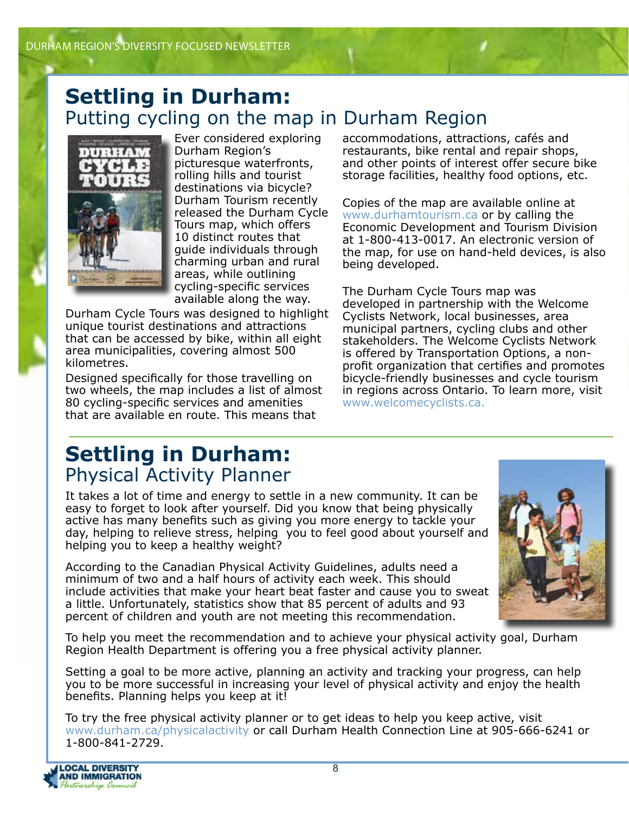### **Settling in Durham:**  Putting cycling on the map in Durham Region



Ever considered exploring Durham Region's picturesque waterfronts, rolling hills and tourist destinations via bicycle? Durham Tourism recently released the Durham Cycle Tours map, which offers 10 distinct routes that guide individuals through charming urban and rural areas, while outlining cycling-specific services available along the way.

Durham Cycle Tours was designed to highlight unique tourist destinations and attractions that can be accessed by bike, within all eight area municipalities, covering almost 500 kilometres.

Designed specifically for those travelling on two wheels, the map includes a list of almost 80 cycling-specific services and amenities that are available en route. This means that

accommodations, attractions, cafés and restaurants, bike rental and repair shops, and other points of interest offer secure bike storage facilities, healthy food options, etc.

Copies of the map are available online at www.durhamtourism.ca or by calling the Economic Development and Tourism Division at 1-800-413-0017. An electronic version of the map, for use on hand-held devices, is also being developed.

The Durham Cycle Tours map was developed in partnership with the Welcome Cyclists Network, local businesses, area municipal partners, cycling clubs and other stakeholders. The Welcome Cyclists Network is offered by Transportation Options, a nonprofit organization that certifies and promotes bicycle-friendly businesses and cycle tourism in regions across Ontario. To learn more, visit www.welcomecyclists.ca.

## **Settling in Durham:**  Physical Activity Planner

It takes a lot of time and energy to settle in a new community. It can be easy to forget to look after yourself. Did you know that being physically active has many benefits such as giving you more energy to tackle your day, helping to relieve stress, helping you to feel good about yourself and helping you to keep a healthy weight?

According to the Canadian Physical Activity Guidelines, adults need a minimum of two and a half hours of activity each week. This should include activities that make your heart beat faster and cause you to sweat a little. Unfortunately, statistics show that 85 percent of adults and 93 percent of children and youth are not meeting this recommendation.



To help you meet the recommendation and to achieve your physical activity goal, Durham Region Health Department is offering you a free physical activity planner.

Setting a goal to be more active, planning an activity and tracking your progress, can help you to be more successful in increasing your level of physical activity and enjoy the health benefits. Planning helps you keep at it!

To try the free physical activity planner or to get ideas to help you keep active, visit www.durham.ca/physicalactivity or call Durham Health Connection Line at 905-666-6241 or 1-800-841-2729.

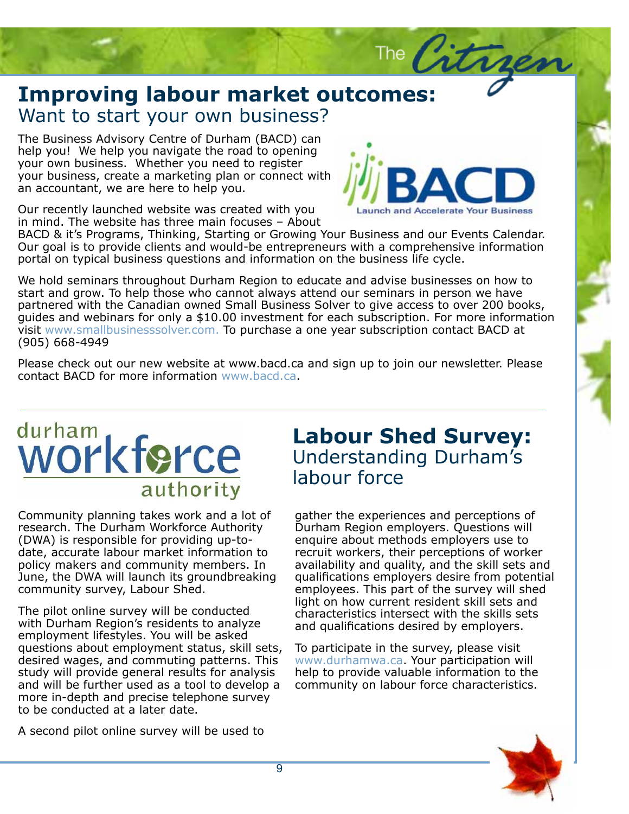### **Improving labour market o**<br>Want to start your own business? **Improving labour market outcomes:**

The Business Advisory Centre of Durham (BACD) can<br>help you! We help you navigate the road to opening your own business. Whether you need to register your business, create a marketing plan or connect with rutrum volution volution volution is neglecus, condition in the sed, tristique sed, tristique sed, tristique s help you! We help you navigate the road to opening an accountant, we are here to help you.



The City

Our recently launched website was created with you in mind. The website has three main focuses - About

BACD & it's Programs, Thinking, Starting or Growing Your Business and our Events Calendar. but goat to to provide eneries and woald be entrepreneate with a comprenensity<br>portal on typical business questions and information on the business life cycle.  $\mathcal{L}$  in orbitation in ordinary in ordinary leo dolor,  $\mathcal{L}$ Our goal is to provide clients and would-be entrepreneurs with a comprehensive information

partnered with the Canadian owned Small Business Solver to give access to over 200 books,<br>guides and webinars for only a \$10.00 investment for each subscription. For more information<br>visit www.smallbusinesssolver.com. To p We hold seminars throughout Durham Region to educate and advise businesses on how to start and grow. To help those who cannot always attend our seminars in person we have partnered with the Canadian owned Small Business Solver to give access to over 200 books, visit www.smallbusinesssolver.com. To purchase a one year subscription contact BACD at (905) 668-4949

(905) 668-4949<br>Please check out our new website at www.bacd.ca and sign up to join our newsletter. Please contact BACD for more information www.bacd.ca.

# durham<br>WOrkforce authority

Community planning takes work and a lot of Lorem in dominion dominate additions, the barnar<br>(DWA) is responsible for providing up-todate, accurate labour market information to recruit policy makers and community members. In community survey, Labour Shed. research. The Durham Workforce Authority June, the DWA will launch its groundbreaking

sed neque. Morbi a ipsum. with Durham Region's residents to analyze employment lifestyles. You will be asked questions about employment status, skill sets, acon oa magoo, ana commaang patternon milio<br>study will provide general results for analysis and will be further used as a tool to develop a more in-depth and precise telephone survey to be conducted at a later date. The pilot online survey will be conducted desired wages, and commuting patterns. This

A second pilot online survey will be used to

### **Labour Shed Survey:** Understanding Durham's labour force

gather the experiences and perceptions of Durham Region employers. Questions will enquire about methods employers use to recruit workers, their perceptions of worker availability and quality, and the skill sets and qualifications employers desire from potential employees. This part of the survey will shed light on how current resident skill sets and characteristics intersect with the skills sets and qualifications desired by employers.

To participate in the survey, please visit www.durhamwa.ca. Your participation will help to provide valuable information to the community on labour force characteristics.

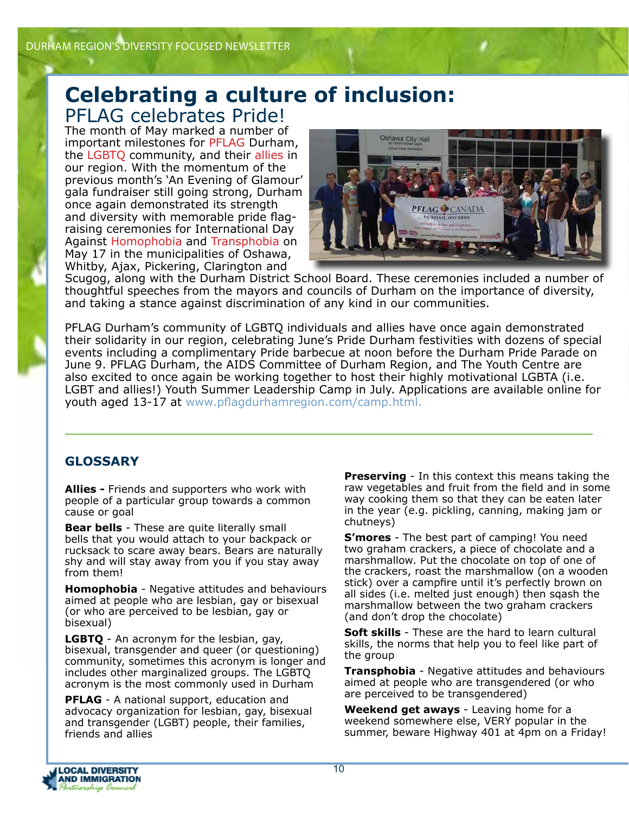### **Celebrating a culture of inclusion:** PFLAG celebrates Pride!

The month of May marked a number of important milestones for PFLAG Durham, the LGBTQ community, and their allies in our region. With the momentum of the previous month's 'An Evening of Glamour' gala fundraiser still going strong, Durham once again demonstrated its strength and diversity with memorable pride flagraising ceremonies for International Day Against Homophobia and Transphobia on May 17 in the municipalities of Oshawa, Whitby, Ajax, Pickering, Clarington and



Scugog, along with the Durham District School Board. These ceremonies included a number of thoughtful speeches from the mayors and councils of Durham on the importance of diversity, and taking a stance against discrimination of any kind in our communities.

PFLAG Durham's community of LGBTQ individuals and allies have once again demonstrated their solidarity in our region, celebrating June's Pride Durham festivities with dozens of special events including a complimentary Pride barbecue at noon before the Durham Pride Parade on June 9. PFLAG Durham, the AIDS Committee of Durham Region, and The Youth Centre are also excited to once again be working together to host their highly motivational LGBTA (i.e. LGBT and allies!) Youth Summer Leadership Camp in July. Applications are available online for youth aged 13-17 at www.pflagdurhamregion.com/camp.html.

### **GLOSSARY**

**Allies -** Friends and supporters who work with people of a particular group towards a common cause or goal

**Bear bells** - These are quite literally small bells that you would attach to your backpack or rucksack to scare away bears. Bears are naturally shy and will stay away from you if you stay away from them!

**Homophobia** - Negative attitudes and behaviours aimed at people who are lesbian, gay or bisexual (or who are perceived to be lesbian, gay or bisexual)

**LGBTQ** - An acronym for the lesbian, gay, bisexual, transgender and queer (or questioning) community, sometimes this acronym is longer and includes other marginalized groups. The LGBTQ acronym is the most commonly used in Durham

**PFLAG** - A national support, education and advocacy organization for lesbian, gay, bisexual and transgender (LGBT) people, their families, friends and allies

**Preserving** - In this context this means taking the raw vegetables and fruit from the field and in some way cooking them so that they can be eaten later in the year (e.g. pickling, canning, making jam or chutneys)

**S'mores** - The best part of camping! You need two graham crackers, a piece of chocolate and a marshmallow. Put the chocolate on top of one of the crackers, roast the marshmallow (on a wooden stick) over a campfire until it's perfectly brown on all sides (i.e. melted just enough) then sqash the marshmallow between the two graham crackers (and don't drop the chocolate)

**Soft skills** - These are the hard to learn cultural skills, the norms that help you to feel like part of the group

**Transphobia** - Negative attitudes and behaviours aimed at people who are transgendered (or who are perceived to be transgendered)

**Weekend get aways** - Leaving home for a weekend somewhere else, VERY popular in the summer, beware Highway 401 at 4pm on a Friday!

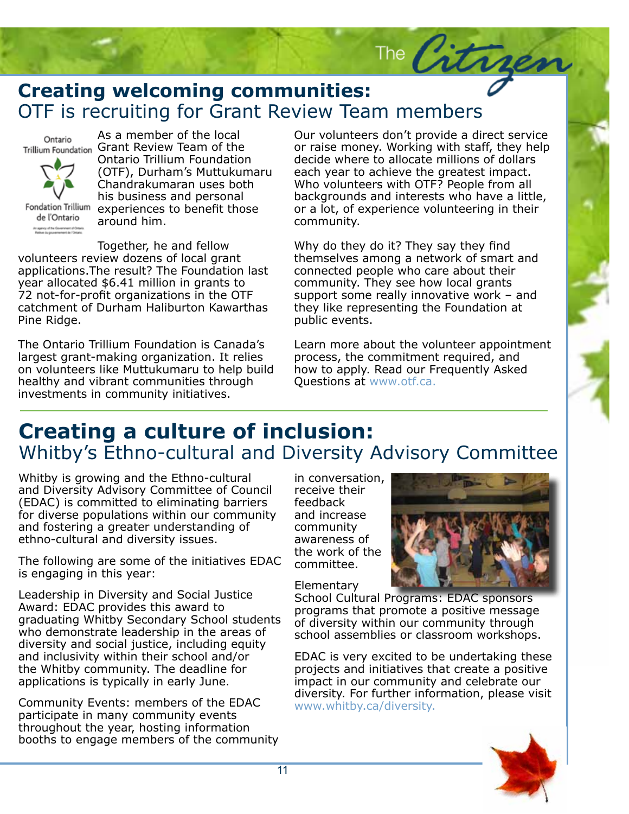## **Creating welcoming communities:**<br>OTF is recruiting for Grant Review Team members **Creating welcoming communities:**

Ontario



As a member of the local Trillium Foundation Grant Review Team of the Ontario Trillium Foundation (OTF), Durham's Muttukumaru Chandrakumaran uses both his business and personal Fondation Trillium experiences to benefit those around him.

Together, he and fellow volunteers review dozens of local grant applications.The result? The Foundation last year allocated \$6.41 million in grants to 72 not-for-profit organizations in the OTF catchment of Durham Haliburton Kawarthas Pine Ridge.

The Ontario Trillium Foundation is Canada's largest grant-making organization. It relies on volunteers like Muttukumaru to help build healthy and vibrant communities through investments in community initiatives.

Our volunteers don't provide a direct service or raise money. Working with staff, they help decide where to allocate millions of dollars each year to achieve the greatest impact. Who volunteers with OTF? People from all backgrounds and interests who have a little, or a lot, of experience volunteering in their community.

The Citry

Why do they do it? They say they find themselves among a network of smart and connected people who care about their community. They see how local grants support some really innovative work – and they like representing the Foundation at public events.

Learn more about the volunteer appointment process, the commitment required, and how to apply. Read our Frequently Asked Questions at www.otf.ca.

### visory Committa Whitby's Ethno-cultural and Diversity Advisory Committee **Creating a culture of inclusion:**

Whitby is growing and the Ethno-cultural and Diversity Advisory Committee of Council (EDAC) is committed to eliminating barriers for diverse populations within our community and fostering a greater understanding of ethno-cultural and diversity issues.

The following are some of the initiatives EDAC is engaging in this year:

Leadership in Diversity and Social Justice Award: EDAC provides this award to graduating Whitby Secondary School students who demonstrate leadership in the areas of diversity and social justice, including equity and inclusivity within their school and/or the Whitby community. The deadline for applications is typically in early June.

Community Events: members of the EDAC participate in many community events throughout the year, hosting information booths to engage members of the community in conversation, receive their feedback and increase community awareness of the work of the committee.

Elementary



Subheadline to go here.

School Cultural Programs: EDAC sponsors programs that promote a positive message of diversity within our community through school assemblies or classroom workshops.

EDAC is very excited to be undertaking these projects and initiatives that create a positive impact in our community and celebrate our diversity. For further information, please visit www.whitby.ca/diversity.